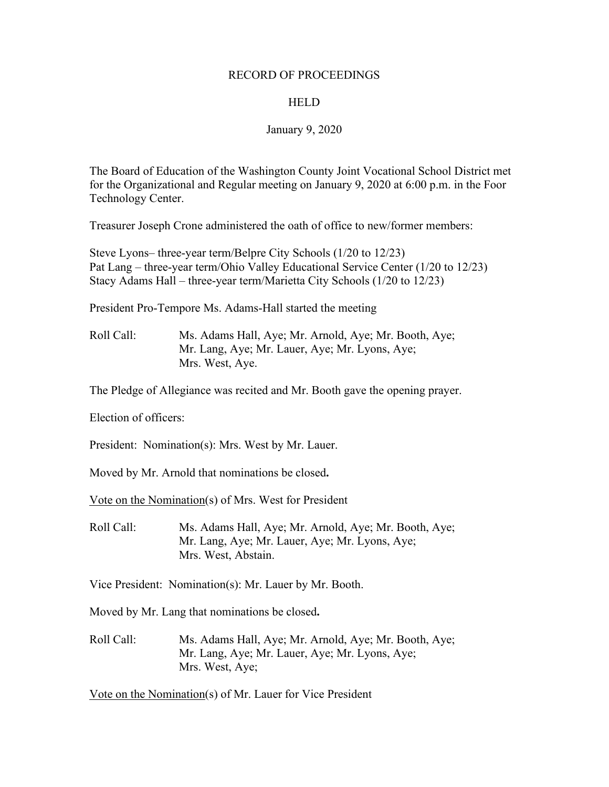#### RECORD OF PROCEEDINGS

### **HELD**

#### January 9, 2020

The Board of Education of the Washington County Joint Vocational School District met for the Organizational and Regular meeting on January 9, 2020 at 6:00 p.m. in the Foor Technology Center.

Treasurer Joseph Crone administered the oath of office to new/former members:

Steve Lyons– three-year term/Belpre City Schools (1/20 to 12/23) Pat Lang – three-year term/Ohio Valley Educational Service Center (1/20 to 12/23) Stacy Adams Hall – three-year term/Marietta City Schools (1/20 to 12/23)

President Pro-Tempore Ms. Adams-Hall started the meeting

Roll Call: Ms. Adams Hall, Aye; Mr. Arnold, Aye; Mr. Booth, Aye; Mr. Lang, Aye; Mr. Lauer, Aye; Mr. Lyons, Aye; Mrs. West, Aye.

The Pledge of Allegiance was recited and Mr. Booth gave the opening prayer.

Election of officers:

President: Nomination(s): Mrs. West by Mr. Lauer.

Moved by Mr. Arnold that nominations be closed**.**

Vote on the Nomination(s) of Mrs. West for President

Roll Call: Ms. Adams Hall, Aye; Mr. Arnold, Aye; Mr. Booth, Aye; Mr. Lang, Aye; Mr. Lauer, Aye; Mr. Lyons, Aye; Mrs. West, Abstain.

Vice President: Nomination(s): Mr. Lauer by Mr. Booth.

Moved by Mr. Lang that nominations be closed**.**

Roll Call: Ms. Adams Hall, Aye; Mr. Arnold, Aye; Mr. Booth, Aye; Mr. Lang, Aye; Mr. Lauer, Aye; Mr. Lyons, Aye; Mrs. West, Aye;

Vote on the Nomination(s) of Mr. Lauer for Vice President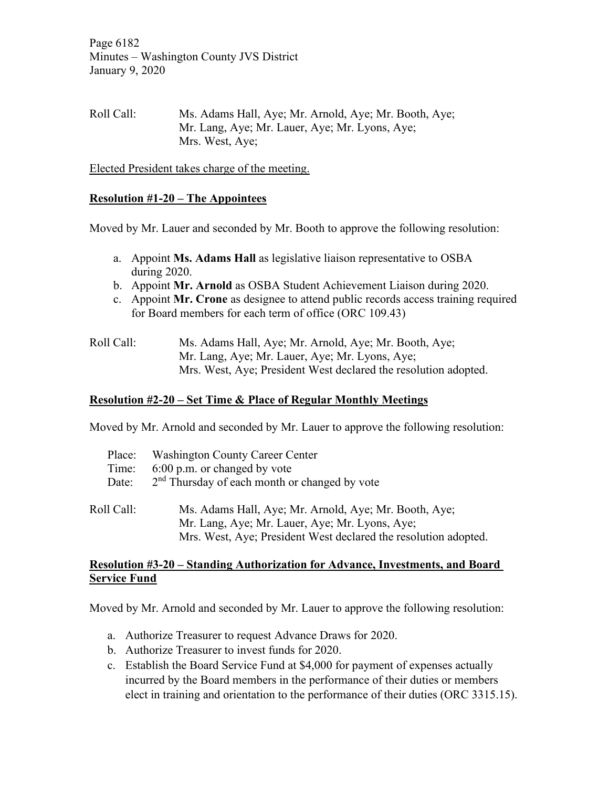Page 6182 Minutes – Washington County JVS District January 9, 2020

Roll Call: Ms. Adams Hall, Aye; Mr. Arnold, Aye; Mr. Booth, Aye; Mr. Lang, Aye; Mr. Lauer, Aye; Mr. Lyons, Aye; Mrs. West, Aye;

Elected President takes charge of the meeting.

### **Resolution #1-20 – The Appointees**

Moved by Mr. Lauer and seconded by Mr. Booth to approve the following resolution:

- a. Appoint **Ms. Adams Hall** as legislative liaison representative to OSBA during 2020.
- b. Appoint **Mr. Arnold** as OSBA Student Achievement Liaison during 2020.
- c. Appoint **Mr. Crone** as designee to attend public records access training required for Board members for each term of office (ORC 109.43)

| Roll Call: | Ms. Adams Hall, Aye; Mr. Arnold, Aye; Mr. Booth, Aye;           |
|------------|-----------------------------------------------------------------|
|            | Mr. Lang, Aye; Mr. Lauer, Aye; Mr. Lyons, Aye;                  |
|            | Mrs. West, Aye; President West declared the resolution adopted. |

### **Resolution #2-20 – Set Time & Place of Regular Monthly Meetings**

Moved by Mr. Arnold and seconded by Mr. Lauer to approve the following resolution:

| Place:     | <b>Washington County Career Center</b>                                                                                                                                     |
|------------|----------------------------------------------------------------------------------------------------------------------------------------------------------------------------|
| Time:      | 6:00 p.m. or changed by vote                                                                                                                                               |
| Date:      | 2 <sup>nd</sup> Thursday of each month or changed by vote                                                                                                                  |
| Roll Call: | Ms. Adams Hall, Aye; Mr. Arnold, Aye; Mr. Booth, Aye;<br>Mr. Lang, Aye; Mr. Lauer, Aye; Mr. Lyons, Aye;<br>Mrs. West, Aye; President West declared the resolution adopted. |

#### **Resolution #3-20 – Standing Authorization for Advance, Investments, and Board Service Fund**

Moved by Mr. Arnold and seconded by Mr. Lauer to approve the following resolution:

- a. Authorize Treasurer to request Advance Draws for 2020.
- b. Authorize Treasurer to invest funds for 2020.
- c. Establish the Board Service Fund at \$4,000 for payment of expenses actually incurred by the Board members in the performance of their duties or members elect in training and orientation to the performance of their duties (ORC 3315.15).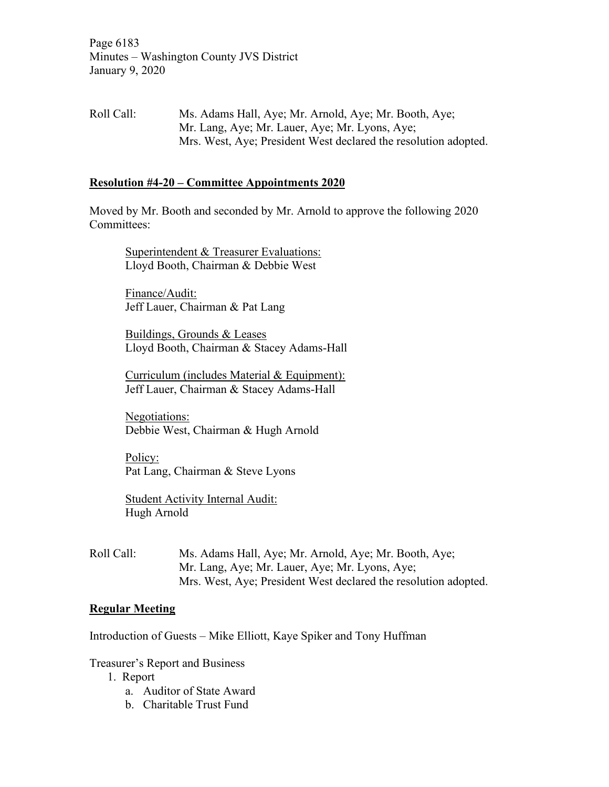Page 6183 Minutes – Washington County JVS District January 9, 2020

Roll Call: Ms. Adams Hall, Aye; Mr. Arnold, Aye; Mr. Booth, Aye; Mr. Lang, Aye; Mr. Lauer, Aye; Mr. Lyons, Aye; Mrs. West, Aye; President West declared the resolution adopted.

### **Resolution #4-20 – Committee Appointments 2020**

Moved by Mr. Booth and seconded by Mr. Arnold to approve the following 2020 Committees:

Superintendent & Treasurer Evaluations: Lloyd Booth, Chairman & Debbie West

Finance/Audit: Jeff Lauer, Chairman & Pat Lang

Buildings, Grounds & Leases Lloyd Booth, Chairman & Stacey Adams-Hall

Curriculum (includes Material & Equipment): Jeff Lauer, Chairman & Stacey Adams-Hall

Negotiations: Debbie West, Chairman & Hugh Arnold

Policy: Pat Lang, Chairman & Steve Lyons

Student Activity Internal Audit: Hugh Arnold

Roll Call: Ms. Adams Hall, Aye; Mr. Arnold, Aye; Mr. Booth, Aye; Mr. Lang, Aye; Mr. Lauer, Aye; Mr. Lyons, Aye; Mrs. West, Aye; President West declared the resolution adopted.

## **Regular Meeting**

Introduction of Guests – Mike Elliott, Kaye Spiker and Tony Huffman

#### Treasurer's Report and Business

- 1. Report
	- a. Auditor of State Award
	- b. Charitable Trust Fund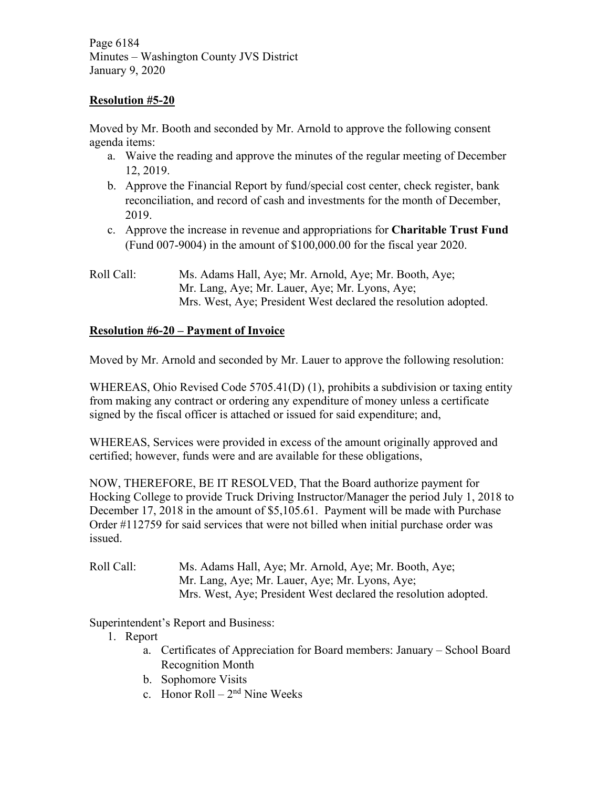Page 6184 Minutes – Washington County JVS District January 9, 2020

# **Resolution #5-20**

Moved by Mr. Booth and seconded by Mr. Arnold to approve the following consent agenda items:

- a. Waive the reading and approve the minutes of the regular meeting of December 12, 2019.
- b. Approve the Financial Report by fund/special cost center, check register, bank reconciliation, and record of cash and investments for the month of December, 2019.
- c. Approve the increase in revenue and appropriations for **Charitable Trust Fund** (Fund 007-9004) in the amount of \$100,000.00 for the fiscal year 2020.
- Roll Call: Ms. Adams Hall, Aye; Mr. Arnold, Aye; Mr. Booth, Aye; Mr. Lang, Aye; Mr. Lauer, Aye; Mr. Lyons, Aye; Mrs. West, Aye; President West declared the resolution adopted.

# **Resolution #6-20 – Payment of Invoice**

Moved by Mr. Arnold and seconded by Mr. Lauer to approve the following resolution:

WHEREAS, Ohio Revised Code 5705.41(D) (1), prohibits a subdivision or taxing entity from making any contract or ordering any expenditure of money unless a certificate signed by the fiscal officer is attached or issued for said expenditure; and,

WHEREAS, Services were provided in excess of the amount originally approved and certified; however, funds were and are available for these obligations,

NOW, THEREFORE, BE IT RESOLVED, That the Board authorize payment for Hocking College to provide Truck Driving Instructor/Manager the period July 1, 2018 to December 17, 2018 in the amount of \$5,105.61. Payment will be made with Purchase Order #112759 for said services that were not billed when initial purchase order was issued.

Roll Call: Ms. Adams Hall, Aye; Mr. Arnold, Aye; Mr. Booth, Aye; Mr. Lang, Aye; Mr. Lauer, Aye; Mr. Lyons, Aye; Mrs. West, Aye; President West declared the resolution adopted.

Superintendent's Report and Business:

- 1. Report
	- a. Certificates of Appreciation for Board members: January School Board Recognition Month
	- b. Sophomore Visits
	- c. Honor Roll  $2<sup>nd</sup>$  Nine Weeks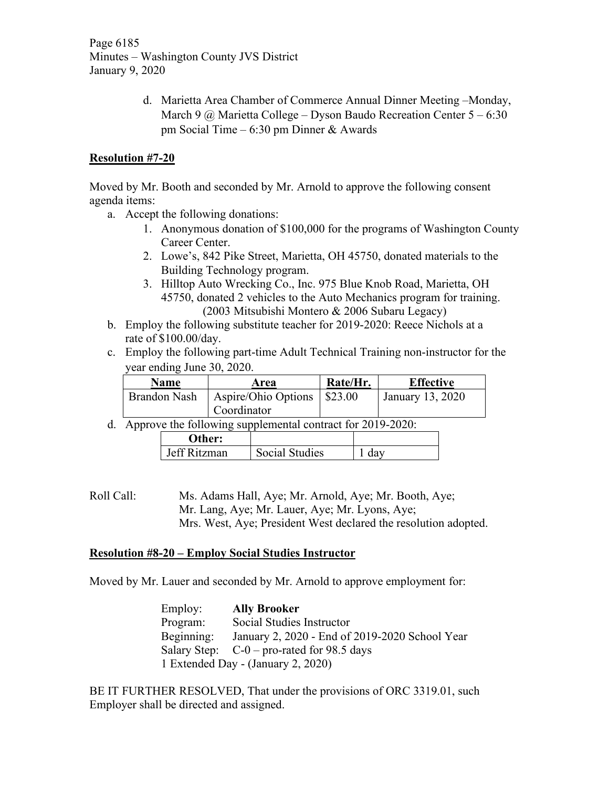Page 6185 Minutes – Washington County JVS District January 9, 2020

> d. Marietta Area Chamber of Commerce Annual Dinner Meeting –Monday, March 9  $\omega$  Marietta College – Dyson Baudo Recreation Center 5 – 6:30 pm Social Time – 6:30 pm Dinner & Awards

# **Resolution #7-20**

Moved by Mr. Booth and seconded by Mr. Arnold to approve the following consent agenda items:

- a. Accept the following donations:
	- 1. Anonymous donation of \$100,000 for the programs of Washington County Career Center.
	- 2. Lowe's, 842 Pike Street, Marietta, OH 45750, donated materials to the Building Technology program.
	- 3. Hilltop Auto Wrecking Co., Inc. 975 Blue Knob Road, Marietta, OH 45750, donated 2 vehicles to the Auto Mechanics program for training. (2003 Mitsubishi Montero & 2006 Subaru Legacy)
- b. Employ the following substitute teacher for 2019-2020: Reece Nichols at a rate of \$100.00/day.
- c. Employ the following part-time Adult Technical Training non-instructor for the year ending June 30, 2020.

| <b>Name</b>  | Area                          | Rate/Hr. | <b>Effective</b> |
|--------------|-------------------------------|----------|------------------|
| Brandon Nash | Aspire/Ohio Options   \$23.00 |          | January 13, 2020 |
|              | Coordinator                   |          |                  |

d. Approve the following supplemental contract for 2019-2020:

| <b>Other:</b> |                       |  |
|---------------|-----------------------|--|
| Jeff Ritzman  | <b>Social Studies</b> |  |
|               |                       |  |

Roll Call: Ms. Adams Hall, Aye; Mr. Arnold, Aye; Mr. Booth, Aye; Mr. Lang, Aye; Mr. Lauer, Aye; Mr. Lyons, Aye; Mrs. West, Aye; President West declared the resolution adopted.

## **Resolution #8-20 – Employ Social Studies Instructor**

Moved by Mr. Lauer and seconded by Mr. Arnold to approve employment for:

| Employ:    | <b>Ally Brooker</b>                            |
|------------|------------------------------------------------|
| Program:   | Social Studies Instructor                      |
| Beginning: | January 2, 2020 - End of 2019-2020 School Year |
|            | Salary Step: $C-0$ – pro-rated for 98.5 days   |
|            | 1 Extended Day - (January 2, 2020)             |

BE IT FURTHER RESOLVED, That under the provisions of ORC 3319.01, such Employer shall be directed and assigned.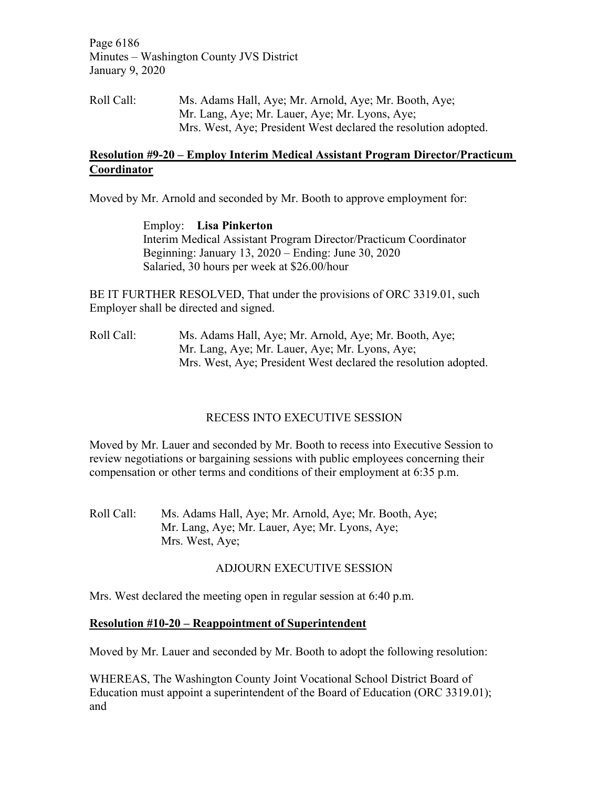Page 6186 Minutes – Washington County JVS District January 9, 2020

Roll Call: Ms. Adams Hall, Aye; Mr. Arnold, Aye; Mr. Booth, Aye; Mr. Lang, Aye; Mr. Lauer, Aye; Mr. Lyons, Aye; Mrs. West, Aye; President West declared the resolution adopted.

# **Resolution #9-20 – Employ Interim Medical Assistant Program Director/Practicum Coordinator**

Moved by Mr. Arnold and seconded by Mr. Booth to approve employment for:

Employ: **Lisa Pinkerton** Interim Medical Assistant Program Director/Practicum Coordinator Beginning: January 13, 2020 – Ending: June 30, 2020 Salaried, 30 hours per week at \$26.00/hour

BE IT FURTHER RESOLVED, That under the provisions of ORC 3319.01, such Employer shall be directed and signed.

Roll Call: Ms. Adams Hall, Aye; Mr. Arnold, Aye; Mr. Booth, Aye; Mr. Lang, Aye; Mr. Lauer, Aye; Mr. Lyons, Aye; Mrs. West, Aye; President West declared the resolution adopted.

# RECESS INTO EXECUTIVE SESSION

Moved by Mr. Lauer and seconded by Mr. Booth to recess into Executive Session to review negotiations or bargaining sessions with public employees concerning their compensation or other terms and conditions of their employment at 6:35 p.m.

Roll Call: Ms. Adams Hall, Aye; Mr. Arnold, Aye; Mr. Booth, Aye; Mr. Lang, Aye; Mr. Lauer, Aye; Mr. Lyons, Aye; Mrs. West, Aye;

# ADJOURN EXECUTIVE SESSION

Mrs. West declared the meeting open in regular session at 6:40 p.m.

# **Resolution #10-20 – Reappointment of Superintendent**

Moved by Mr. Lauer and seconded by Mr. Booth to adopt the following resolution:

WHEREAS, The Washington County Joint Vocational School District Board of Education must appoint a superintendent of the Board of Education (ORC 3319.01); and